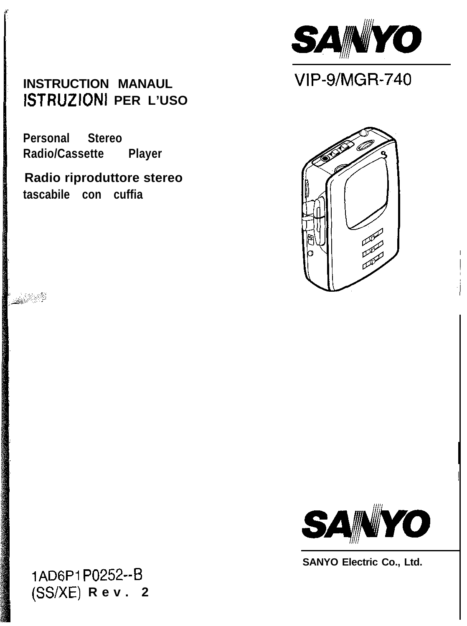**INSTRUCTION MANAUL ISTRUZIONI PER L'USO**

**Personal Stereo Radio/Cassette Player**

**Radio riproduttore stereo tascabile con cuffia**







 $\overline{\phantom{a}}$ 

**SANYO Electric Co., Ltd.**

**lAD6Pl P0252--B (SS/XE) Rev. 2**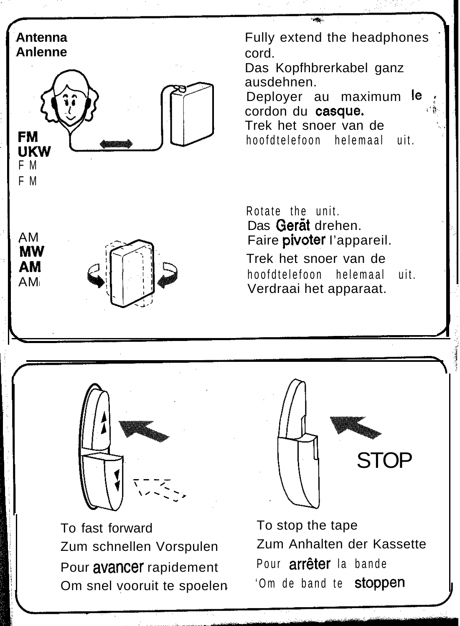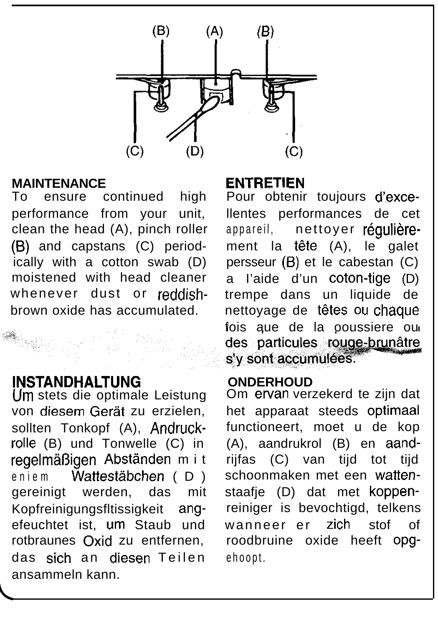

### **MAINTENANCE**

To ensure continued high performance from your unit, clean the head (A), pinch roller (6) and capstans (C) periodically with a cotton swab (D) moistened with head cleaner whenever dust or reddishbrown oxide has accumulated.

# **INSTANDHALTUNG**

Urn stets die optimale Leistung von diesem Gerat zu erzielen, sollten Tonkopf (A), Andruckrolle (B) und Tonwelle (C) in regelmäßigen Abständen mit eniem Wattestäbchen (D) gereinigt werden, das mit Kopfreinigungsfltissigkeit angefeuchtet ist, um Staub und rotbraunes Oxid zu entfernen, das sich an diesen Teilen ansammeln kann.

### **ENTRETIEN**

Pour obtenir toujours d'excellentes performances de cet appareil, nettoyer réqulièrement la tête (A), le galet persseur (6) et le cabestan (C) a I'aide d'un coton-tige (D) trempe dans un liquide de nettoyage de têtes ou chaque fois aue de la ooussiere ou des particules rouge-brunâtre s'y sont accumulées.

### **ONDERHOUD**

Om ervan verzekerd te zijn dat het apparaat steeds optimaal functioneert, moet u de kop (A), aandrukrol (B) en aandrijfas (C) van tijd tot tijd schoonmaken met een wattenstaafie (D) dat met koppenreiniger is bevochtigd, telkens wanneer er zich stof of roodbruine oxide heeft opgehoopt.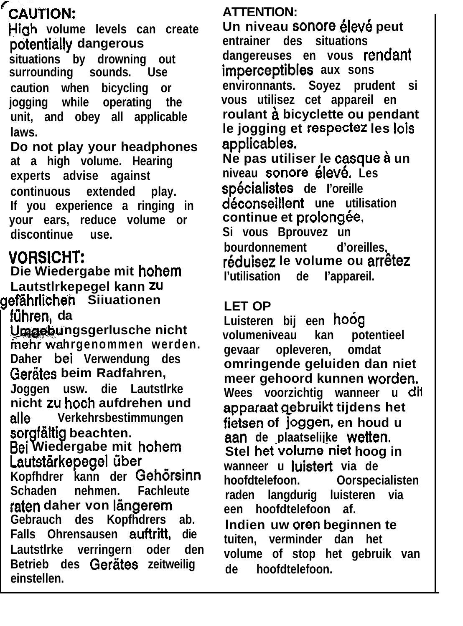# **%AUTION:**

**Hiah volume levels can create po?entially dangerous situations by drowning out** surrounding sounds. **caution when bicycling or jogging while operating the unit, and obey all applicable laws.**

**Do not play your headphones at a high volume. Hearing experts advise against continuous extended play. If you experience a ringing in your ears, reduce volume or discontinue use.**

# **VORSICHT:**

**Die Wiedergabe mit hohem Lautstlrkepegel kann zu gefahrlichen Siiuationen**

**fiihren, da**

**ngsgerlusche nicht hrgenommen werden. Daher bei Verwendung des** Gerätes beim Radfahren, **Joggen usw. die Lautstlrke nicht zu hoch aufdrehen und alle Verkehrsbestimmungen** sorgfältig beachten. **Bei Wiedergabe mit hohem Lautstärkepegel** über **Kopfhdrer kann der Gehorsinn Schaden nehmen. Fachleute** raten daher von längerem **Gebrauch des Kopfhdrers ab.**

**Falls Ohrensausen auffritt, die Lautstlrke verringern oder den Betrieb des Gerates zeitweilig einstellen.**

### **ATTENTION:**

Un niveau sonore élevé peut **entrainer des situations dangereuses en vous rendant imperceptibles aux sons environnants. Soyez prudent si vous utilisez cet appareil en roulant a bicyclette ou pendant le jogging et respectez les lois applicables. Ne pas utiliser le casque à un niveau sonore Bleve. Les**

**specialistes de I'oreille deconseillent une utilisation** continue et prolongée. **Si vous Bprouvez un bourdonnement d'oreilles, reduisez le volume ou arrdtez I'utilisation de I'appareil.**

### **LET OP**

**Luisteren bij een hoog volumeniveau kan potentieel gevaar opleveren, omdat omringende geluiden dan niet meer gehoord kunnen worden. Wees voorzichtig wanneer u dif aooaraat oebruikt tijdens het** fietsen of joggen, en houd u **aan de plaatselijke wetten. Stel het volume niet hoog in wanneer u luistert via de Oorspecialisten raden langdurig luisteren via een hoofdtelefoon af. lndien uw oren beginnen te tuiten, verminder dan het volume of stop het gebruik van de hoofdtelefoon.**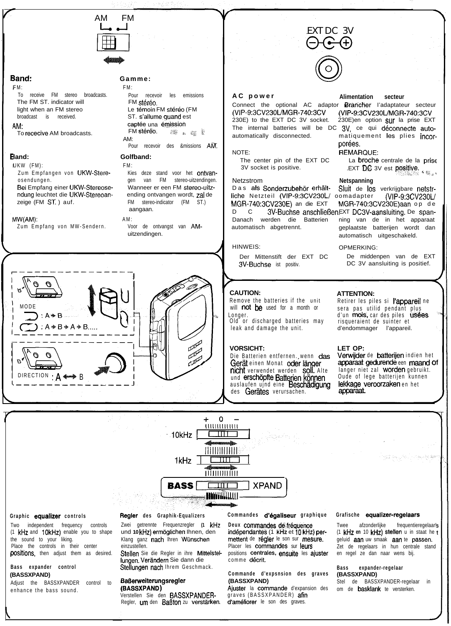

# **5and: Gamme:**

### FM:

To receive FM stereo broadcasts. The FM ST. indicator will light when an FM stereo broadcast is received.

### AM-

To rececive AM broadcasts.

# **land:**

UKW (FM): Zum Empfangen von UKW-Stereosendungen. Bei Empfang einer UKW-Stereosendung leuchtet die UKW-Stereoanzeige (FM ST. ) auf.

### MW(AM):

Zum Empfang von MW-Sendern.

# FM:

Pour recevoir les emissions FM stéréo. Le témoin FM stéréo (FM ST. s'allume quand est captée una émission<br>FM stéréo FM st & & AM: Pour recevoir des &missions AM.

### **Golfband:** FM:

Kies deze stand voor het ontvangen van FM stereo-uitzendingen. Wanneer er een FM stereo-uitzending ontvangen wordt, zal de FM stereo-indicator (FM ST.) aangaan.

### AM:

Voor de ontvangst van AMuitzendingen.



Connect the optional AC adaptor **Brancher** l'adaptateur secteur (VIP-9:3CV230UMGR740:3CV (VIP-9:3CV230L/MGR-740:3CV 230E) to the EXT DC 3V socket. 230E)en option  $\text{SUT}$  la prise EXT The internal batteries will be DC 3V, ce qui déconnecte autoautomatically disconnected. matiquement les plies incor-

The center pin of the EXT DC La **broche** centrale de la prise<br>3V socket is positive. EXT DC 3V est **positive.** 

Netzstrom **Netspanning** liche Netzteil (VIP-9:3CV230L/ oomadapter (VIP-9:3CV230L/<br>MGR-740:3CV230E) an die EXT MGR-740:3CV230E)aan op de D C 3V-Buchse anschließen EXT DC3V-aansluiting. De span-Danach werden die Batterien ning van de in het apparaat

Der Mittenstift der EXT DC De middenpen van de EXT 3V-Buchse ist positiv. DC 3V aansluiting is positief.

# **CAUTION: ATTENTION:**

Remove the batteries if the unit will **not** be used for a month or Longer. Old or discharged batteries may

leak and damage the unit.

Die Batterien entfernen. wenn das **Nicht** verwendet werden SOII. Alte – langer niet zal Worden gebruikt.<br>und **erschöpfte Batterien können** – Oude of lege batterijen kunnen auslaufen ujnd eine Beschädigung lekkage veroorzaken en het des Gerätes verursachen.

### **AC power Alimentation secteur**

por6es.

## NOTE: REMARQUE:

3V socket is positive.  $\blacksquare$  EXT DC 3V est positive.

Sluit de los verkrijgbare netstr-<br>comadapter (VIP-9:3CV230L/ MGR-740:3CV230E) aan op de automatisch abgetrennt. geplaatste batterijen wordt dan automatisch uitgeschakeld.

# HINWEIS: OPMERKING:

Retirer les piles si l'appareil ne sera pas utilid pendant plus d'un mois, car des piles usées risqueraient de suinter et d'endommager l'appareil.

**VORSICHT: LET OP:** apparaat gedurende een maand of<br>langer niet zal worden gebruikt.



Two independent frequency controls (1 kHz and 10kHz) enable you to shape the sound to your liking. Place the controls in their center positions, then adjust them as desired.

### **Bass expander control (BASSXPAND)**

Adjust the BASSXPANDER control to enhance the bass sound.

### **Graphic equalizer controls Regler des Graphik-Equalizers**

Zwei getrennte Frequenzregler **(1 kHz** und **10** kHz) erm6glichen Ihnen, den Klang ganz nach Ihren Wünschen einzustellen.

Stellen Sie die Regler in ihre Mittelstellungen. Verandern Sie dann die Stellungen nach Ihrem Geschmack.

### **BaBeweiterungsregler (BASSXPAND)**

Verstellen Sie den BASSXPANDER-Regler, um den Baßton zu verstärken. **Commandes d'bgaliseur graphique Grafische equalizer-regelaars**

Deux commandes de fréquence indépendantes (1 kHz et 10 kHz) permettent de r6gler le son sur mesure. Placer les commandes sur leurs positions centrales, ensuite les ajuster comme décrit.

### **Commande d'expsnsion des graves (BASSXPAND)**

Ajuster la commande d'expansion des graves (BASSXPANDER) afin d'améliorer le son des graves.

Twee afzonderlijke frequentieregelaar!s (1 kHz **en** 10 kHz) stellen u in staat he geluid aan uw smaak aan te passen. Zet de regelaars in hun centrale stand en regel ze dan naar wens bij.

### **Bass expander-regelaar (BASSXPAND)**

Stel de BASSXPANDER-regelaar in om de **basklank** te versterken.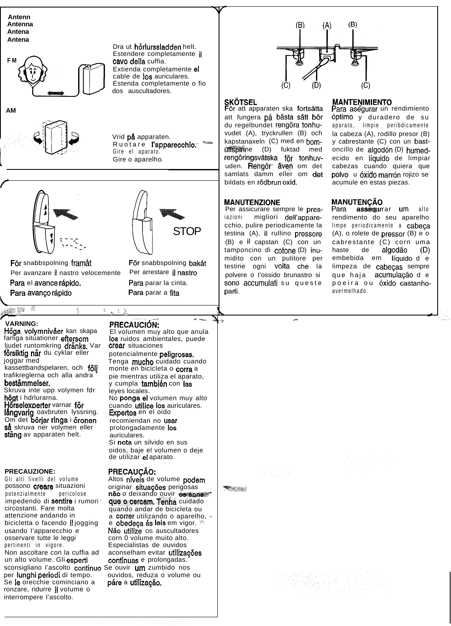**Antenn Antenna Antena Antena**

**AM**

 $\frac{1}{\sqrt{2}}$ 





För snabbspolning framåt För snabbspolning bakåt Per avanzare il nastro velocemente Per arrestare il nastro Para el avance rápido. Para parar la cinta. Para avanço rápido Para parar a fita

**firi** STOP

Ruotare l'apparecchio. \*\*\*

Dra ut hörlurssladden helt. Estendere completamente il

Extienda completamente et cable de 10s auriculares. Estenda completamente o fio

cavo della cuffia.

dos auscultadores.

Vrid **på** apparaten.

Gire el aparato. Gire o aparelho.

# $\frac{1}{\sqrt{2\pi}}$ **VARNING: PRECAUCIÓN:**

Höga volymnivåer kan skapa farliga situationer eftersom ljudet runtomkring dränks. Var försiktig när du cyklar eller joggar med kassettbandspelaren, och följ trafikreglerna och alla andra bestämmelser. Skruva inte upp volymen fdr **högt** i hdrlurarna. **Hörselexperter** varnar **för långvarig** oavbruten lyssning.

Om det börjar ringa i öronen så skruva ner volymen eller stäng av apparaten helt.

### **PRECAUZIONE:**

Gli alti livelli del volume possono creare situazioni potenzialmente pericolose impedendo di sentire i rumori ' circostanti. Fare molta attenzione andando in bicicletta o facendo il jogging usando I'apparecchio e osservare tutte le leggi corn 0 volume muito alto. pertinenti in vigore. Especialistas de ouvidos Non ascoltare con la cuffia ad un alto volume. Gli esperti sconsigliano l'ascolto continuo Se ouvir um zumbido nos per lunghi periodi di tempo. ouvidos, reduza o volume ou Se le orecchie cominciano a ronzare, ridurre il volume o interrompere I'ascolto.

El volumen muy alto que anula los ruidos ambientales, puede crear situaciones potencialmente peligrosas. Tenga mucho cuidado cuando monte en bicicleta o corra a pie mientras utiliza el aparato,

**.- \_-\_**

i.

y cumpla también con las leyes locales. No ponga el volumen muy alto cuando **utilice los** auriculares.<br>**Expertos** en el oido recomiendan no usar

prolongadamente 10s auriculares. Si nota un silvido en sus oidos, baje el volumen o deje de utilizar el aparato.

# **PRECAU@O:**

 $5 - 19$ 

Altos nfveis de volume podem originar situações perigosas não o deixando ouvir os sons que o cercam. Tenha cuidado quando andar de bicicleta ou a correr utilizando o aparelho, e obedeça ás leis em vigor. <sup>22</sup> Não utilize os auscultadores aconselham evitar utilizacões continuas e prolongadas. páre a utilização.



**SKOTSEL MANTENIMIENT<br>För att apparaten ska fortsätta Para asegurar un** att fungera på bästa sätt bör du regelbundet rengöra tonhuvudet (A), tryckrullen (B) och kapstanaxeln (C) med en bomultspirine (D) fuktad med rengöringsvätska för tonhuvuden. Rengör även om det samlats damm eller om det bildats en rödbrun oxid.

### **MANUTENZIONE**

Per assicurare sempre le presiazioni migliori dell'apparecchio, pulire periodicamente la testina (A), il rullino pressore (B) e il capstan (C) con un tamponcino di cotone (D) inumidito con un pulitore per testine ogni volta che la polvere o I'ossido brunastro si sono accumulati su queste parti.

-

Para asegurar un rendimiento 6ptimo y duradero de su aparato, limpie peribdicamente la cabeza (A), rodillo presor (B) y cabrestante (C) con un bastoncillo de algodón (D) humedecido en líquido de limpiar cabezas cuando quiera que **polvo** u **óxido marrón** rojizo se acumule en estas piezas.

# **MANUTENCÃO**

Para assegurrar um alto rendimento do seu aparelho limpe periodicamente a cabeça (A), o rolete de pressor (B) e o cabrestante (C) corn uma haste de algodão (D) embebida em líquido de limpeza de cabeças sempre que haja acumulação de poeira ou 6xido castanhoavermelhado.

I